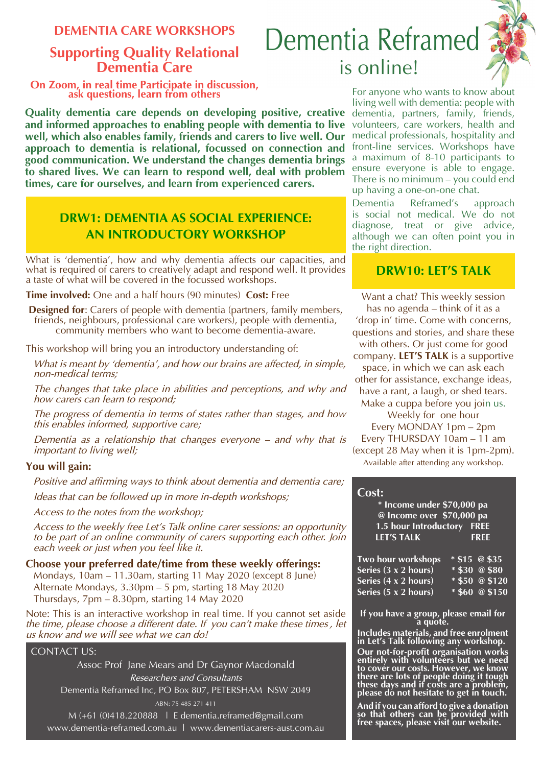**DEMENTIA CARE WORKSHOPS**

# **Supporting Quality Relational Dementia Care**

**On Zoom, in real time Participate in discussion, ask questions, learn from others**

**Quality dementia care depends on developing positive, creative and informed approaches to enabling people with dementia to live well, which also enables family, friends and carers to live well. Our approach to dementia is relational, focussed on connection and good communication. We understand the changes dementia brings to shared lives. We can learn to respond well, deal with problem times, care for ourselves, and learn from experienced carers.** 

# **DRW1: DEMENTIA AS SOCIAL EXPERIENCE: AN INTRODUCTORY WORKSHOP**

What is 'dementia', how and why dementia affects our capacities, and<br>what is required of carers to creatively adapt and respond well. It provides **DRW10: LET'S TALK** what is required of carers to creatively adapt and respond well. It provides a taste of what will be covered in the focussed workshops.

**Time involved:** One and a half hours (90 minutes) **Cost:** Free

**Designed for:** Carers of people with dementia (partners, family members, friends, neighbours, professional care workers), people with dementia, community members who want to become dementia-aware.

This workshop will bring you an introductory understanding of:

*What is meant by 'dementia', and how our brains are affected, in simple, non-medical terms;*

*The changes that take place in abilities and perceptions, and why and how carers can learn to respond;*

*The progress of dementia in terms of states rather than stages, and how this enables informed, supportive care;*

*Dementia as a relationship that changes everyone – and why that is important to living well;*

# **You will gain:**

*Positive and affirming ways to think about dementia and dementia care;*

*Ideas that can be followed up in more in-depth workshops;*

*Access to the notes from the workshop;*

*Access to the weekly free Let's Talk online carer sessions: an opportunity to be part of an online community of carers supporting each other. Join each week or just when you feel like it.*

# **Choose your preferred date/time from these weekly offerings:**

Mondays, 10am – 11.30am, starting 11 May 2020 (except 8 June) Alternate Mondays, 3.30pm – 5 pm, starting 18 May 2020 Thursdays, 7pm – 8.30pm, starting 14 May 2020

Note: This is an interactive workshop in real time. If you cannot set aside *the time, please choose a different date. If you can't make these times , let us know and we will see what we can do!*

# CONTACT US:

Assoc Prof Jane Mears and Dr Gaynor Macdonald *Researchers and Consultants* Dementia Reframed Inc, PO Box 807, PETERSHAM NSW 2049 ABN: 75 485 271 411

M (+61 (0)418.220888 | E dementia.reframed@gmail.com www.dementia-reframed.com.au | www.dementiacarers-aust.com.au



For anyone who wants to know about living well with dementia: people with dementia, partners, family, friends, volunteers, care workers, health and medical professionals, hospitality and front-line services. Workshops have a maximum of 8-10 participants to ensure everyone is able to engage. There is no minimum – you could end up having a one-on-one chat.

Dementia Reframed's approach is social not medical. We do not diagnose, treat or give advice, although we can often point you in the right direction.

Want a chat? This weekly session has no agenda – think of it as a 'drop in' time. Come with concerns, questions and stories, and share these with others. Or just come for good

company. **LET'S TALK** is a supportive space, in which we can ask each other for assistance, exchange ideas, have a rant, a laugh, or shed tears. Make a cuppa before you join us.

Weekly for one hour

Every MONDAY 1pm – 2pm Every THURSDAY 10am – 11 am (except 28 May when it is 1pm-2pm). Available after attending any workshop.

# **Cost:**

| * Income under \$70,000 pa          |             |                 |  |  |  |  |  |  |
|-------------------------------------|-------------|-----------------|--|--|--|--|--|--|
| @ Income over \$70,000 pa           |             |                 |  |  |  |  |  |  |
| 1.5 hour Introductory FREE          |             |                 |  |  |  |  |  |  |
| <b>LET'S TALK</b>                   | <b>FREE</b> |                 |  |  |  |  |  |  |
|                                     |             |                 |  |  |  |  |  |  |
| Two hour workshops                  |             | $*$ \$15 @ \$35 |  |  |  |  |  |  |
| Series (3 x 2 hours)                |             | $*$ \$30 @ \$80 |  |  |  |  |  |  |
| Series $(4 \times 2 \text{ hours})$ |             | $*50005120$     |  |  |  |  |  |  |
| Series (5 x 2 hours)                | $*560$      | @\$150          |  |  |  |  |  |  |

**If you have a group, please email for a quote.**

**Includes materials, and free enrolment in Let's Talk following any workshop.**

**Our not-for-profit organisation works entirely with volunteers but we need to cover our costs. However, we know there are lots of people doing it tough these days and if costs are a problem, please do not hesitate to get in touch.**

**And if you can afford to give a donation so that others can be provided with free spaces, please visit our website.**